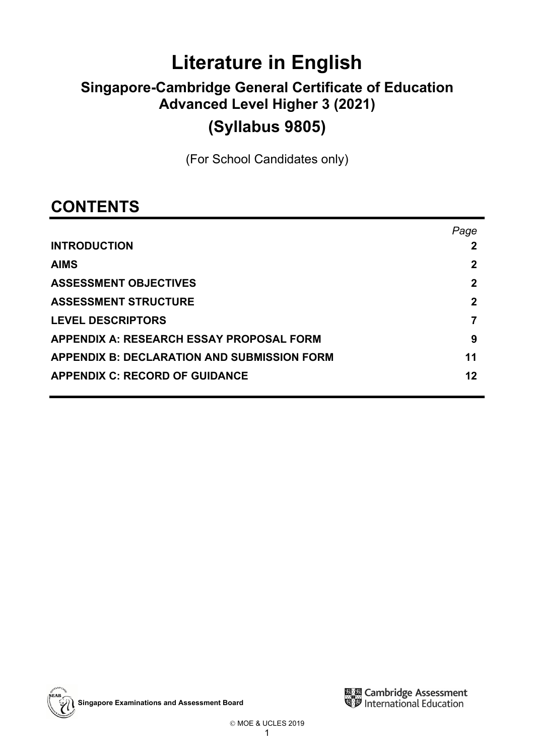# **Literature in English**

# **Singapore-Cambridge General Certificate of Education Advanced Level Higher 3 (2021)**

## **(Syllabus 9805)**

(For School Candidates only)

## **CONTENTS**

| Page        |
|-------------|
|             |
| 2           |
| 2           |
| $\mathbf 2$ |
|             |
| 9           |
| 11          |
| 12          |
|             |

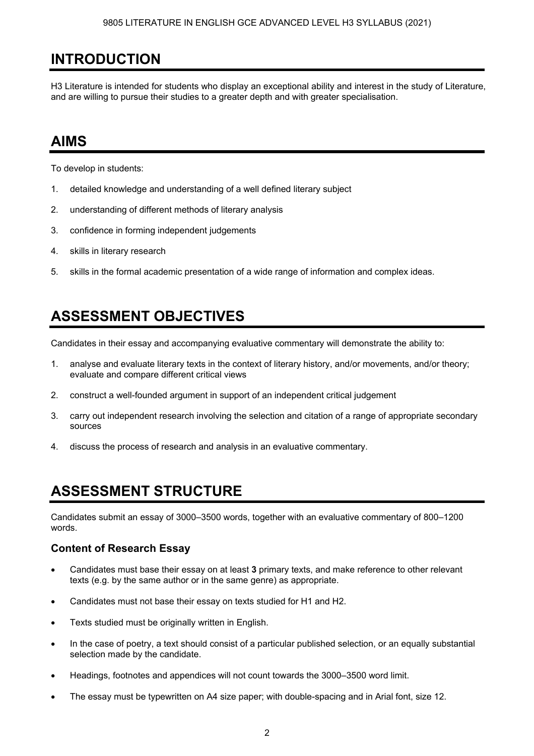## **INTRODUCTION**

H3 Literature is intended for students who display an exceptional ability and interest in the study of Literature, and are willing to pursue their studies to a greater depth and with greater specialisation.

## **AIMS**

To develop in students:

- 1. detailed knowledge and understanding of a well defined literary subject
- 2. understanding of different methods of literary analysis
- 3. confidence in forming independent judgements
- 4. skills in literary research
- 5. skills in the formal academic presentation of a wide range of information and complex ideas.

## **ASSESSMENT OBJECTIVES**

Candidates in their essay and accompanying evaluative commentary will demonstrate the ability to:

- 1. analyse and evaluate literary texts in the context of literary history, and/or movements, and/or theory; evaluate and compare different critical views
- 2. construct a well-founded argument in support of an independent critical judgement
- 3. carry out independent research involving the selection and citation of a range of appropriate secondary sources
- 4. discuss the process of research and analysis in an evaluative commentary.

## **ASSESSMENT STRUCTURE**

Candidates submit an essay of 3000–3500 words, together with an evaluative commentary of 800–1200 words.

## **Content of Research Essay**

- Candidates must base their essay on at least **3** primary texts, and make reference to other relevant texts (e.g. by the same author or in the same genre) as appropriate.
- Candidates must not base their essay on texts studied for H1 and H2.
- Texts studied must be originally written in English.
- In the case of poetry, a text should consist of a particular published selection, or an equally substantial selection made by the candidate.
- Headings, footnotes and appendices will not count towards the 3000–3500 word limit.
- The essay must be typewritten on A4 size paper; with double-spacing and in Arial font, size 12.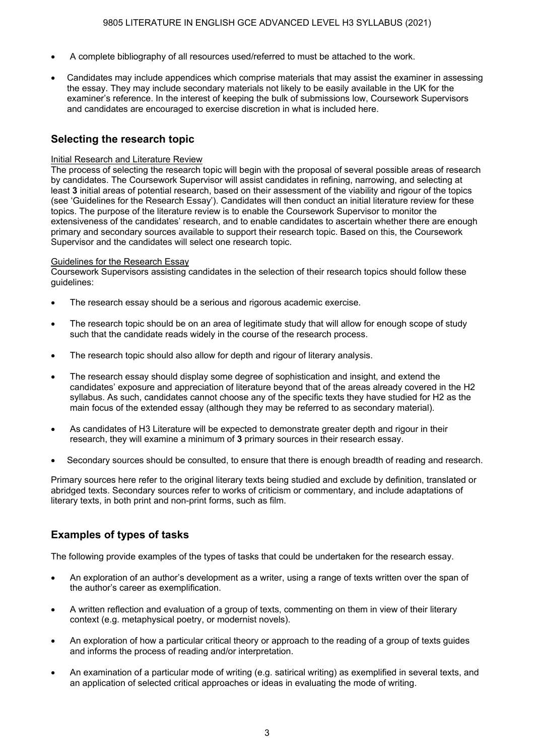- A complete bibliography of all resources used/referred to must be attached to the work.
- Candidates may include appendices which comprise materials that may assist the examiner in assessing the essay. They may include secondary materials not likely to be easily available in the UK for the examiner's reference. In the interest of keeping the bulk of submissions low, Coursework Supervisors and candidates are encouraged to exercise discretion in what is included here.

## **Selecting the research topic**

#### Initial Research and Literature Review

The process of selecting the research topic will begin with the proposal of several possible areas of research by candidates. The Coursework Supervisor will assist candidates in refining, narrowing, and selecting at least **3** initial areas of potential research, based on their assessment of the viability and rigour of the topics (see 'Guidelines for the Research Essay'). Candidates will then conduct an initial literature review for these topics. The purpose of the literature review is to enable the Coursework Supervisor to monitor the extensiveness of the candidates' research, and to enable candidates to ascertain whether there are enough primary and secondary sources available to support their research topic. Based on this, the Coursework Supervisor and the candidates will select one research topic.

#### Guidelines for the Research Essay

Coursework Supervisors assisting candidates in the selection of their research topics should follow these guidelines:

- The research essay should be a serious and rigorous academic exercise.
- The research topic should be on an area of legitimate study that will allow for enough scope of study such that the candidate reads widely in the course of the research process.
- The research topic should also allow for depth and rigour of literary analysis.
- The research essay should display some degree of sophistication and insight, and extend the candidates' exposure and appreciation of literature beyond that of the areas already covered in the H2 syllabus. As such, candidates cannot choose any of the specific texts they have studied for H2 as the main focus of the extended essay (although they may be referred to as secondary material).
- As candidates of H3 Literature will be expected to demonstrate greater depth and rigour in their research, they will examine a minimum of **3** primary sources in their research essay.
- Secondary sources should be consulted, to ensure that there is enough breadth of reading and research.

Primary sources here refer to the original literary texts being studied and exclude by definition, translated or abridged texts. Secondary sources refer to works of criticism or commentary, and include adaptations of literary texts, in both print and non-print forms, such as film.

## **Examples of types of tasks**

The following provide examples of the types of tasks that could be undertaken for the research essay.

- An exploration of an author's development as a writer, using a range of texts written over the span of the author's career as exemplification.
- A written reflection and evaluation of a group of texts, commenting on them in view of their literary context (e.g. metaphysical poetry, or modernist novels).
- An exploration of how a particular critical theory or approach to the reading of a group of texts guides and informs the process of reading and/or interpretation.
- An examination of a particular mode of writing (e.g. satirical writing) as exemplified in several texts, and an application of selected critical approaches or ideas in evaluating the mode of writing.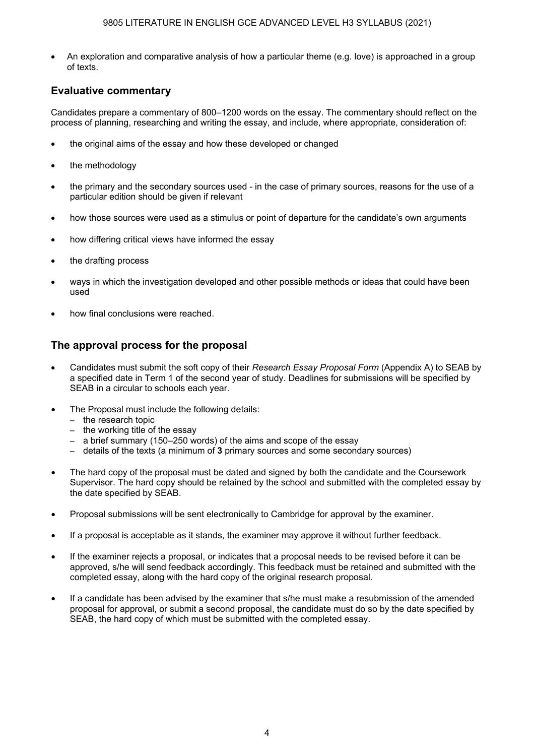• An exploration and comparative analysis of how a particular theme (e.g. love) is approached in a group of texts.

### **Evaluative commentary**

Candidates prepare a commentary of 800–1200 words on the essay. The commentary should reflect on the process of planning, researching and writing the essay, and include, where appropriate, consideration of:

- the original aims of the essay and how these developed or changed
- the methodology
- the primary and the secondary sources used in the case of primary sources, reasons for the use of a particular edition should be given if relevant
- how those sources were used as a stimulus or point of departure for the candidate's own arguments
- how differing critical views have informed the essay
- the drafting process
- ways in which the investigation developed and other possible methods or ideas that could have been used
- how final conclusions were reached.

### **The approval process for the proposal**

- Candidates must submit the soft copy of their *Research Essay Proposal Form* (Appendix A) to SEAB by a specified date in Term 1 of the second year of study. Deadlines for submissions will be specified by SEAB in a circular to schools each year.
- The Proposal must include the following details:
	- the research topic
	- the working title of the essay
	- a brief summary (150–250 words) of the aims and scope of the essay
	- details of the texts (a minimum of **3** primary sources and some secondary sources)
- The hard copy of the proposal must be dated and signed by both the candidate and the Coursework Supervisor. The hard copy should be retained by the school and submitted with the completed essay by the date specified by SEAB.
- Proposal submissions will be sent electronically to Cambridge for approval by the examiner.
- If a proposal is acceptable as it stands, the examiner may approve it without further feedback.
- If the examiner rejects a proposal, or indicates that a proposal needs to be revised before it can be approved, s/he will send feedback accordingly. This feedback must be retained and submitted with the completed essay, along with the hard copy of the original research proposal.
- If a candidate has been advised by the examiner that s/he must make a resubmission of the amended proposal for approval, or submit a second proposal, the candidate must do so by the date specified by SEAB, the hard copy of which must be submitted with the completed essay.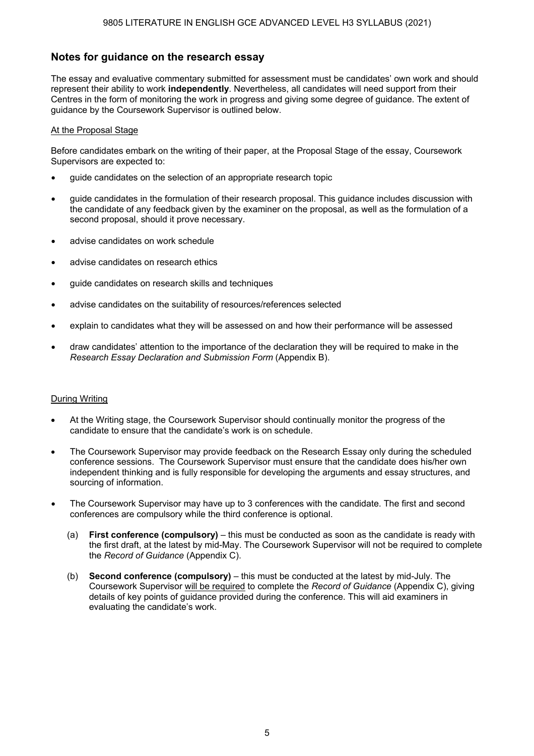## **Notes for guidance on the research essay**

The essay and evaluative commentary submitted for assessment must be candidates' own work and should represent their ability to work **independently**. Nevertheless, all candidates will need support from their Centres in the form of monitoring the work in progress and giving some degree of guidance. The extent of guidance by the Coursework Supervisor is outlined below.

#### At the Proposal Stage

Before candidates embark on the writing of their paper, at the Proposal Stage of the essay, Coursework Supervisors are expected to:

- guide candidates on the selection of an appropriate research topic
- guide candidates in the formulation of their research proposal. This guidance includes discussion with the candidate of any feedback given by the examiner on the proposal, as well as the formulation of a second proposal, should it prove necessary.
- advise candidates on work schedule
- advise candidates on research ethics
- guide candidates on research skills and techniques
- advise candidates on the suitability of resources/references selected
- explain to candidates what they will be assessed on and how their performance will be assessed
- draw candidates' attention to the importance of the declaration they will be required to make in the *Research Essay Declaration and Submission Form* (Appendix B).

#### During Writing

- At the Writing stage, the Coursework Supervisor should continually monitor the progress of the candidate to ensure that the candidate's work is on schedule.
- The Coursework Supervisor may provide feedback on the Research Essay only during the scheduled conference sessions. The Coursework Supervisor must ensure that the candidate does his/her own independent thinking and is fully responsible for developing the arguments and essay structures, and sourcing of information.
- The Coursework Supervisor may have up to 3 conferences with the candidate. The first and second conferences are compulsory while the third conference is optional.
	- (a) **First conference (compulsory)** this must be conducted as soon as the candidate is ready with the first draft, at the latest by mid-May. The Coursework Supervisor will not be required to complete the *Record of Guidance* (Appendix C).
	- (b) **Second conference (compulsory)** this must be conducted at the latest by mid-July. The Coursework Supervisor will be required to complete the *Record of Guidance* (Appendix C), giving details of key points of guidance provided during the conference. This will aid examiners in evaluating the candidate's work.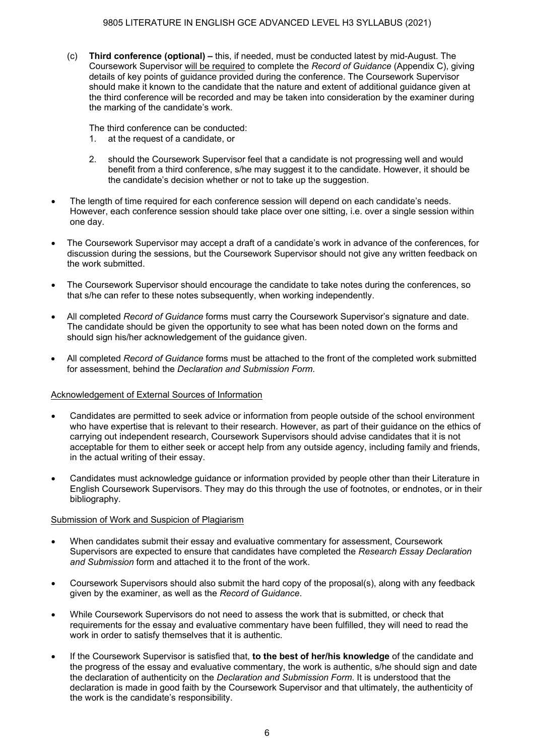(c) **Third conference (optional) –** this, if needed, must be conducted latest by mid-August. The Coursework Supervisor will be required to complete the *Record of Guidance* (Appendix C), giving details of key points of guidance provided during the conference. The Coursework Supervisor should make it known to the candidate that the nature and extent of additional guidance given at the third conference will be recorded and may be taken into consideration by the examiner during the marking of the candidate's work.

The third conference can be conducted:

- 1. at the request of a candidate, or
- 2. should the Coursework Supervisor feel that a candidate is not progressing well and would benefit from a third conference, s/he may suggest it to the candidate. However, it should be the candidate's decision whether or not to take up the suggestion.
- The length of time required for each conference session will depend on each candidate's needs. However, each conference session should take place over one sitting, i.e. over a single session within one day.
- The Coursework Supervisor may accept a draft of a candidate's work in advance of the conferences, for discussion during the sessions, but the Coursework Supervisor should not give any written feedback on the work submitted.
- The Coursework Supervisor should encourage the candidate to take notes during the conferences, so that s/he can refer to these notes subsequently, when working independently.
- All completed *Record of Guidance* forms must carry the Coursework Supervisor's signature and date. The candidate should be given the opportunity to see what has been noted down on the forms and should sign his/her acknowledgement of the guidance given.
- All completed *Record of Guidance* forms must be attached to the front of the completed work submitted for assessment, behind the *Declaration and Submission Form*.

#### Acknowledgement of External Sources of Information

- Candidates are permitted to seek advice or information from people outside of the school environment who have expertise that is relevant to their research. However, as part of their guidance on the ethics of carrying out independent research, Coursework Supervisors should advise candidates that it is not acceptable for them to either seek or accept help from any outside agency, including family and friends, in the actual writing of their essay.
- Candidates must acknowledge guidance or information provided by people other than their Literature in English Coursework Supervisors. They may do this through the use of footnotes, or endnotes, or in their bibliography.

#### Submission of Work and Suspicion of Plagiarism

- When candidates submit their essay and evaluative commentary for assessment, Coursework Supervisors are expected to ensure that candidates have completed the *Research Essay Declaration and Submission* form and attached it to the front of the work.
- Coursework Supervisors should also submit the hard copy of the proposal(s), along with any feedback given by the examiner, as well as the *Record of Guidance*.
- While Coursework Supervisors do not need to assess the work that is submitted, or check that requirements for the essay and evaluative commentary have been fulfilled, they will need to read the work in order to satisfy themselves that it is authentic.
- If the Coursework Supervisor is satisfied that, **to the best of her/his knowledge** of the candidate and the progress of the essay and evaluative commentary, the work is authentic, s/he should sign and date the declaration of authenticity on the *Declaration and Submission Form*. It is understood that the declaration is made in good faith by the Coursework Supervisor and that ultimately, the authenticity of the work is the candidate's responsibility.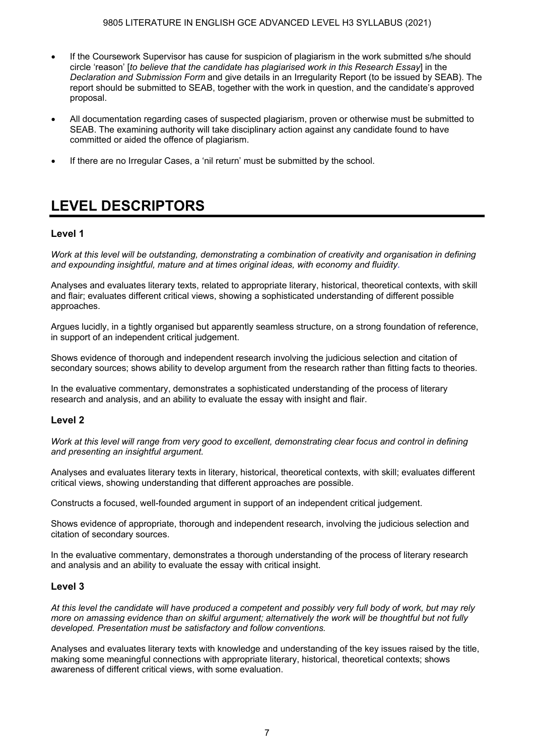- If the Coursework Supervisor has cause for suspicion of plagiarism in the work submitted s/he should circle 'reason' [*to believe that the candidate has plagiarised work in this Research Essay*] in the *Declaration and Submission Form* and give details in an Irregularity Report (to be issued by SEAB). The report should be submitted to SEAB, together with the work in question, and the candidate's approved proposal.
- All documentation regarding cases of suspected plagiarism, proven or otherwise must be submitted to SEAB. The examining authority will take disciplinary action against any candidate found to have committed or aided the offence of plagiarism.
- If there are no Irregular Cases, a 'nil return' must be submitted by the school.

## **LEVEL DESCRIPTORS**

### **Level 1**

*Work at this level will be outstanding, demonstrating a combination of creativity and organisation in defining and expounding insightful, mature and at times original ideas, with economy and fluidity.*

Analyses and evaluates literary texts, related to appropriate literary, historical, theoretical contexts, with skill and flair; evaluates different critical views, showing a sophisticated understanding of different possible approaches.

Argues lucidly, in a tightly organised but apparently seamless structure, on a strong foundation of reference, in support of an independent critical judgement.

Shows evidence of thorough and independent research involving the judicious selection and citation of secondary sources; shows ability to develop argument from the research rather than fitting facts to theories.

In the evaluative commentary, demonstrates a sophisticated understanding of the process of literary research and analysis, and an ability to evaluate the essay with insight and flair.

### **Level 2**

*Work at this level will range from very good to excellent, demonstrating clear focus and control in defining and presenting an insightful argument.* 

Analyses and evaluates literary texts in literary, historical, theoretical contexts, with skill; evaluates different critical views, showing understanding that different approaches are possible.

Constructs a focused, well-founded argument in support of an independent critical judgement.

Shows evidence of appropriate, thorough and independent research, involving the judicious selection and citation of secondary sources.

In the evaluative commentary, demonstrates a thorough understanding of the process of literary research and analysis and an ability to evaluate the essay with critical insight.

### **Level 3**

*At this level the candidate will have produced a competent and possibly very full body of work, but may rely more on amassing evidence than on skilful argument; alternatively the work will be thoughtful but not fully developed. Presentation must be satisfactory and follow conventions.* 

Analyses and evaluates literary texts with knowledge and understanding of the key issues raised by the title, making some meaningful connections with appropriate literary, historical, theoretical contexts; shows awareness of different critical views, with some evaluation.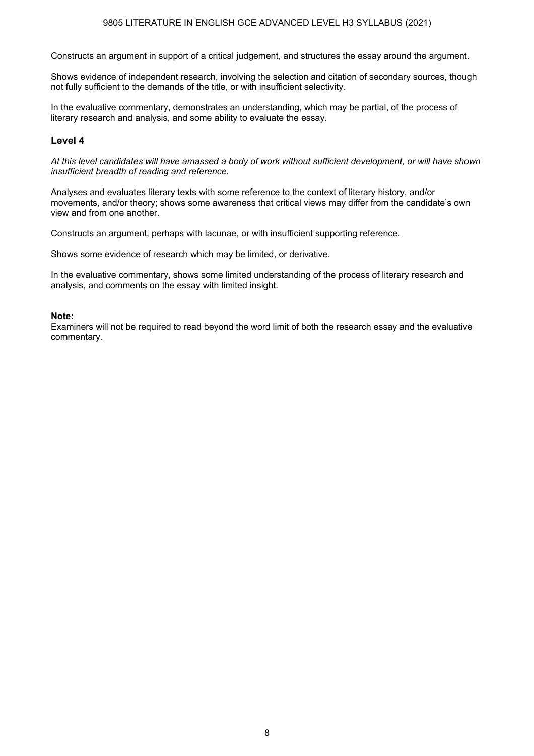#### 9805 LITERATURE IN ENGLISH GCE ADVANCED LEVEL H3 SYLLABUS (2021)

Constructs an argument in support of a critical judgement, and structures the essay around the argument.

Shows evidence of independent research, involving the selection and citation of secondary sources, though not fully sufficient to the demands of the title, or with insufficient selectivity.

In the evaluative commentary, demonstrates an understanding, which may be partial, of the process of literary research and analysis, and some ability to evaluate the essay.

#### **Level 4**

*At this level candidates will have amassed a body of work without sufficient development, or will have shown insufficient breadth of reading and reference.* 

Analyses and evaluates literary texts with some reference to the context of literary history, and/or movements, and/or theory; shows some awareness that critical views may differ from the candidate's own view and from one another.

Constructs an argument, perhaps with lacunae, or with insufficient supporting reference.

Shows some evidence of research which may be limited, or derivative.

In the evaluative commentary, shows some limited understanding of the process of literary research and analysis, and comments on the essay with limited insight.

#### **Note:**

Examiners will not be required to read beyond the word limit of both the research essay and the evaluative commentary.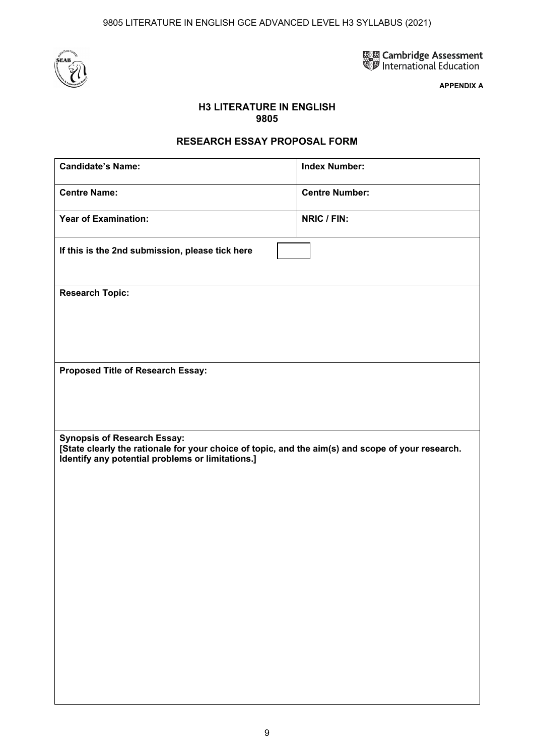9805 LITERATURE IN ENGLISH GCE ADVANCED LEVEL H3 SYLLABUS (2021)



圖 Cambridge Assessment<br>SD International Education

**APPENDIX A** 

### **H3 LITERATURE IN ENGLISH 9805**

### **RESEARCH ESSAY PROPOSAL FORM**

| <b>Candidate's Name:</b>                                                                                                                                                                    | <b>Index Number:</b>  |  |  |  |  |
|---------------------------------------------------------------------------------------------------------------------------------------------------------------------------------------------|-----------------------|--|--|--|--|
| <b>Centre Name:</b>                                                                                                                                                                         | <b>Centre Number:</b> |  |  |  |  |
| <b>Year of Examination:</b>                                                                                                                                                                 | NRIC / FIN:           |  |  |  |  |
| If this is the 2nd submission, please tick here                                                                                                                                             |                       |  |  |  |  |
| <b>Research Topic:</b>                                                                                                                                                                      |                       |  |  |  |  |
|                                                                                                                                                                                             |                       |  |  |  |  |
|                                                                                                                                                                                             |                       |  |  |  |  |
| Proposed Title of Research Essay:                                                                                                                                                           |                       |  |  |  |  |
|                                                                                                                                                                                             |                       |  |  |  |  |
|                                                                                                                                                                                             |                       |  |  |  |  |
| <b>Synopsis of Research Essay:</b><br>[State clearly the rationale for your choice of topic, and the aim(s) and scope of your research.<br>Identify any potential problems or limitations.] |                       |  |  |  |  |
|                                                                                                                                                                                             |                       |  |  |  |  |
|                                                                                                                                                                                             |                       |  |  |  |  |
|                                                                                                                                                                                             |                       |  |  |  |  |
|                                                                                                                                                                                             |                       |  |  |  |  |
|                                                                                                                                                                                             |                       |  |  |  |  |
|                                                                                                                                                                                             |                       |  |  |  |  |
|                                                                                                                                                                                             |                       |  |  |  |  |
|                                                                                                                                                                                             |                       |  |  |  |  |
|                                                                                                                                                                                             |                       |  |  |  |  |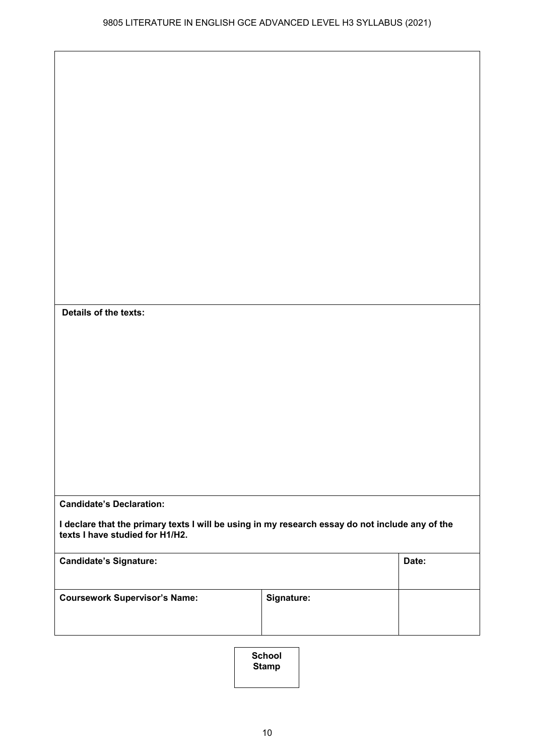| Details of the texts:                                                                                                              |            |       |
|------------------------------------------------------------------------------------------------------------------------------------|------------|-------|
|                                                                                                                                    |            |       |
|                                                                                                                                    |            |       |
|                                                                                                                                    |            |       |
|                                                                                                                                    |            |       |
|                                                                                                                                    |            |       |
|                                                                                                                                    |            |       |
|                                                                                                                                    |            |       |
| <b>Candidate's Declaration:</b>                                                                                                    |            |       |
| I declare that the primary texts I will be using in my research essay do not include any of the<br>texts I have studied for H1/H2. |            |       |
|                                                                                                                                    |            | Date: |
| <b>Candidate's Signature:</b><br><b>Coursework Supervisor's Name:</b>                                                              | Signature: |       |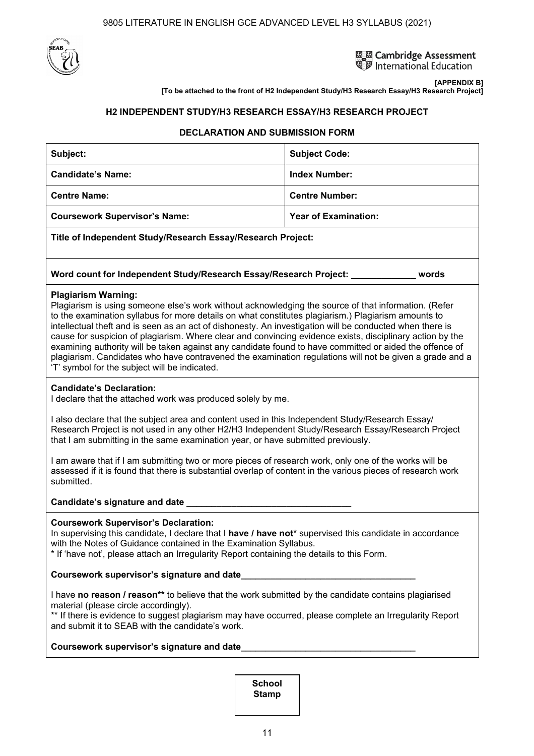



**[APPENDIX B] [To be attached to the front of H2 Independent Study/H3 Research Essay/H3 Research Project]** 

#### **H2 INDEPENDENT STUDY/H3 RESEARCH ESSAY/H3 RESEARCH PROJECT**

#### **DECLARATION AND SUBMISSION FORM**

| Subject:                                                                                                                                                                                                                                                                                                                                                                                                                                                                                                                                                                                                                                                                                                                                  | <b>Subject Code:</b>        |  |  |  |
|-------------------------------------------------------------------------------------------------------------------------------------------------------------------------------------------------------------------------------------------------------------------------------------------------------------------------------------------------------------------------------------------------------------------------------------------------------------------------------------------------------------------------------------------------------------------------------------------------------------------------------------------------------------------------------------------------------------------------------------------|-----------------------------|--|--|--|
| <b>Candidate's Name:</b>                                                                                                                                                                                                                                                                                                                                                                                                                                                                                                                                                                                                                                                                                                                  | <b>Index Number:</b>        |  |  |  |
| <b>Centre Name:</b>                                                                                                                                                                                                                                                                                                                                                                                                                                                                                                                                                                                                                                                                                                                       | <b>Centre Number:</b>       |  |  |  |
| <b>Coursework Supervisor's Name:</b>                                                                                                                                                                                                                                                                                                                                                                                                                                                                                                                                                                                                                                                                                                      | <b>Year of Examination:</b> |  |  |  |
| Title of Independent Study/Research Essay/Research Project:                                                                                                                                                                                                                                                                                                                                                                                                                                                                                                                                                                                                                                                                               |                             |  |  |  |
| Word count for Independent Study/Research Essay/Research Project: _________<br>words                                                                                                                                                                                                                                                                                                                                                                                                                                                                                                                                                                                                                                                      |                             |  |  |  |
| <b>Plagiarism Warning:</b><br>Plagiarism is using someone else's work without acknowledging the source of that information. (Refer<br>to the examination syllabus for more details on what constitutes plagiarism.) Plagiarism amounts to<br>intellectual theft and is seen as an act of dishonesty. An investigation will be conducted when there is<br>cause for suspicion of plagiarism. Where clear and convincing evidence exists, disciplinary action by the<br>examining authority will be taken against any candidate found to have committed or aided the offence of<br>plagiarism. Candidates who have contravened the examination regulations will not be given a grade and a<br>'T' symbol for the subject will be indicated. |                             |  |  |  |
| <b>Candidate's Declaration:</b><br>I declare that the attached work was produced solely by me.                                                                                                                                                                                                                                                                                                                                                                                                                                                                                                                                                                                                                                            |                             |  |  |  |
| I also declare that the subject area and content used in this Independent Study/Research Essay/<br>Research Project is not used in any other H2/H3 Independent Study/Research Essay/Research Project<br>that I am submitting in the same examination year, or have submitted previously.                                                                                                                                                                                                                                                                                                                                                                                                                                                  |                             |  |  |  |
| I am aware that if I am submitting two or more pieces of research work, only one of the works will be<br>assessed if it is found that there is substantial overlap of content in the various pieces of research work<br>submitted.                                                                                                                                                                                                                                                                                                                                                                                                                                                                                                        |                             |  |  |  |
| Candidate's signature and date _________                                                                                                                                                                                                                                                                                                                                                                                                                                                                                                                                                                                                                                                                                                  |                             |  |  |  |
| <b>Coursework Supervisor's Declaration:</b><br>In supervising this candidate, I declare that I have / have not* supervised this candidate in accordance<br>with the Notes of Guidance contained in the Examination Syllabus.<br>* If 'have not', please attach an Irregularity Report containing the details to this Form.                                                                                                                                                                                                                                                                                                                                                                                                                |                             |  |  |  |
| Coursework supervisor's signature and date <b>Service Structure and Structure Course in the Course of Structure Course</b>                                                                                                                                                                                                                                                                                                                                                                                                                                                                                                                                                                                                                |                             |  |  |  |
| I have no reason / reason** to believe that the work submitted by the candidate contains plagiarised<br>material (please circle accordingly).<br>** If there is evidence to suggest plagiarism may have occurred, please complete an Irregularity Report<br>and submit it to SEAB with the candidate's work.                                                                                                                                                                                                                                                                                                                                                                                                                              |                             |  |  |  |
|                                                                                                                                                                                                                                                                                                                                                                                                                                                                                                                                                                                                                                                                                                                                           |                             |  |  |  |
| <b>School</b>                                                                                                                                                                                                                                                                                                                                                                                                                                                                                                                                                                                                                                                                                                                             |                             |  |  |  |

**Stamp**